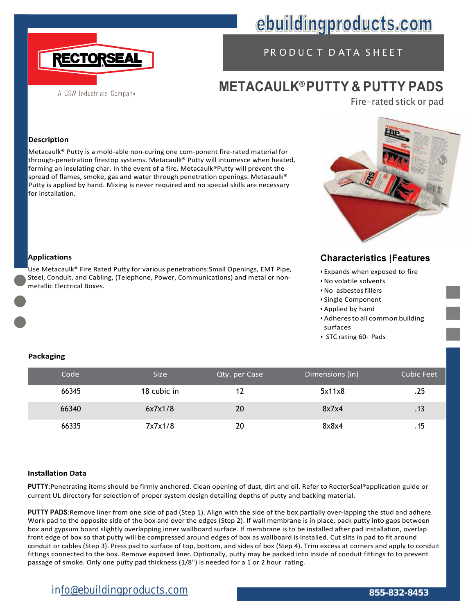

# ebuildingproducts.com

## PR ODUC T D ATA SHEET

## **METACAULK® PUTTY & PUTTY PADS**

Fire-rated stick or pad

#### **Description**

Metacaulk® Putty is a mold-able non-curing one com-ponent fire-rated material for through-penetration firestop systems. Metacaulk® Putty will intumesce when heated, forming an insulating char. In the event of a fire, Metacaulk®Putty will prevent the spread of flames, smoke, gas and water through penetration openings. Metacaulk® Putty is applied by hand. Mixing is never required and no special skills are necessary for installation.



### **Characteristics |Features**

- Expands when exposed to fire
- No volatile solvents
- No asbestosfillers
- Single Component
- Applied by hand
- Adheresto all common building surfaces
- STC rating 60- Pads

# **Applications**

Use Metacaulk® Fire Rated Putty for various penetrations:Small Openings, EMT Pipe, Steel, Conduit, and Cabling, (Telephone, Power, Communications) and metal or nonmetallic Electrical Boxes.

#### **Packaging**

| Code  | <b>Size</b> | Qty. per Case | Dimensions (in) | <b>Cubic Feet</b> |
|-------|-------------|---------------|-----------------|-------------------|
| 66345 | 18 cubic in | 12            | 5x11x8          | .25               |
| 66340 | 6x7x1/8     | 20            | 8x7x4           |                   |
| 66335 | 7x7x1/8     | 20            | 8x8x4           |                   |

#### **Installation Data**

**PUTTY**:Penetrating items should be firmly anchored. Clean opening of dust, dirt and oil. Refer to RectorSeal®application guide or current UL directory for selection of proper system design detailing depths of putty and backing material.

**PUTTY PADS**:Remove liner from one side of pad (Step 1). Align with the side of the box partially over-lapping the stud and adhere. Work pad to the opposite side of the box and over the edges (Step 2). If wall membrane is in place, pack putty into gaps between box and gypsum board slightly overlapping inner wallboard surface. If membrane is to be installed after pad installation, overlap front edge of box so that putty will be compressed around edges of box as wallboard is installed. Cut slits in pad to fit around conduit or cables (Step 3). Press pad to surface of top, bottom, and sides of box (Step 4). Trim excess at corners and apply to conduit fittings connected to the box. Remove exposed liner. Optionally, putty may be packed into inside of conduit fittings to to prevent passage of smoke. Only one putty pad thickness (1/8") is needed for a 1 or 2 hour rating.

### **info@ebuildingproducts.com 855-832-8453**